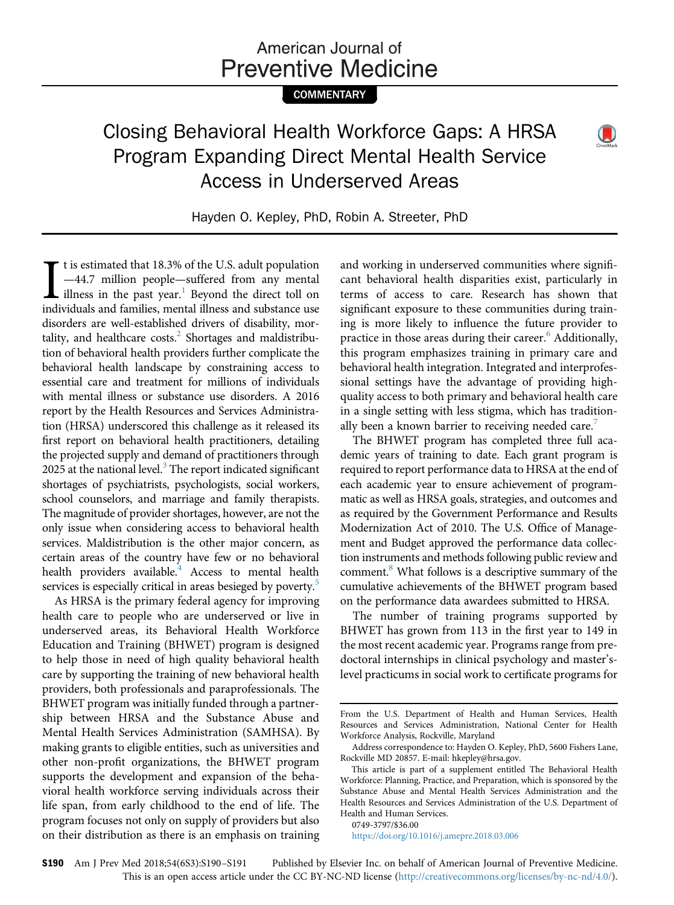# American Journal of **Preventive Medicine**

**COMMENTARY** 

# Closing Behavioral Health Workforce Gaps: A HRSA Program Expanding Direct Mental Health Service Access in Underserved Areas



Hayden O. Kepley, PhD, Robin A. Streeter, PhD

If the u.S. adult population  $-44.7$  million people—suffered from any mental illness in the past year.<sup>1</sup> Beyond the direct toll on individuals and families, mental illness and substance use t is estimated that 18.3% of the U.S. adult population —44.7 million people—suffered from any mental  $\mathsf{\mathsf{L}}$  illness in the past year.<sup>1</sup> Beyond the direct toll on disorders are well-established drivers of disability, mortality, and healthcare costs.<sup>2</sup> Shortages and maldistribution of behavioral health providers further complicate the behavioral health landscape by constraining access to essential care and treatment for millions of individuals with mental illness or substance use disorders. A 2016 report by the Health Resources and Services Administration (HRSA) underscored this challenge as it released its first report on behavioral health practitioners, detailing the projected supply and demand of practitioners through 2025 at the national level. $3$  The report indicated significant shortages of psychiatrists, psychologists, social workers, school counselors, and marriage and family therapists. The magnitude of provider shortages, however, are not the only issue when considering access to behavioral health services. Maldistribution is the other major concern, as certain areas of the country have few or no behavioral health providers available.<sup>[4](#page-1-0)</sup> Access to mental health services is especially critical in areas besieged by poverty.<sup>5</sup>

As HRSA is the primary federal agency for improving health care to people who are underserved or live in underserved areas, its Behavioral Health Workforce Education and Training (BHWET) program is designed to help those in need of high quality behavioral health care by supporting the training of new behavioral health providers, both professionals and paraprofessionals. The BHWET program was initially funded through a partnership between HRSA and the Substance Abuse and Mental Health Services Administration (SAMHSA). By making grants to eligible entities, such as universities and other non-profit organizations, the BHWET program supports the development and expansion of the behavioral health workforce serving individuals across their life span, from early childhood to the end of life. The program focuses not only on supply of providers but also on their distribution as there is an emphasis on training

and working in underserved communities where significant behavioral health disparities exist, particularly in terms of access to care. Research has shown that significant exposure to these communities during training is more likely to influence the future provider to practice in those areas during their career.<sup>[6](#page-1-0)</sup> Additionally, this program emphasizes training in primary care and behavioral health integration. Integrated and interprofessional settings have the advantage of providing highquality access to both primary and behavioral health care in a single setting with less stigma, which has tradition-ally been a known barrier to receiving needed care.<sup>[7](#page-1-0)</sup>

The BHWET program has completed three full academic years of training to date. Each grant program is required to report performance data to HRSA at the end of each academic year to ensure achievement of programmatic as well as HRSA goals, strategies, and outcomes and as required by the Government Performance and Results Modernization Act of 2010. The U.S. Office of Management and Budget approved the performance data collection instruments and methods following public review and comment.<sup>8</sup> What follows is a descriptive summary of the cumulative achievements of the BHWET program based on the performance data awardees submitted to HRSA.

The number of training programs supported by BHWET has grown from 113 in the first year to 149 in the most recent academic year. Programs range from predoctoral internships in clinical psychology and master'slevel practicums in social work to certificate programs for

0749-3797/\$36.00

<https://doi.org/10.1016/j.amepre.2018.03.006>

From the U.S. Department of Health and Human Services, Health Resources and Services Administration, National Center for Health Workforce Analysis, Rockville, Maryland

Address correspondence to: Hayden O. Kepley, PhD, 5600 Fishers Lane, Rockville MD 20857. E-mail: [hkepley@hrsa.gov.](mailto:hkepley@hrsa.gov)

[This article is part of a supplement entitled The Behavioral Health](mailto:hkepley@hrsa.gov) [Workforce: Planning, Practice, and Preparation, which is sponsored by the](mailto:hkepley@hrsa.gov) [Substance Abuse and Mental Health Services Administration and the](mailto:hkepley@hrsa.gov) [Health Resources and Services Administration of the U.S. Department of](mailto:hkepley@hrsa.gov) [Health and Human Services.](mailto:hkepley@hrsa.gov)